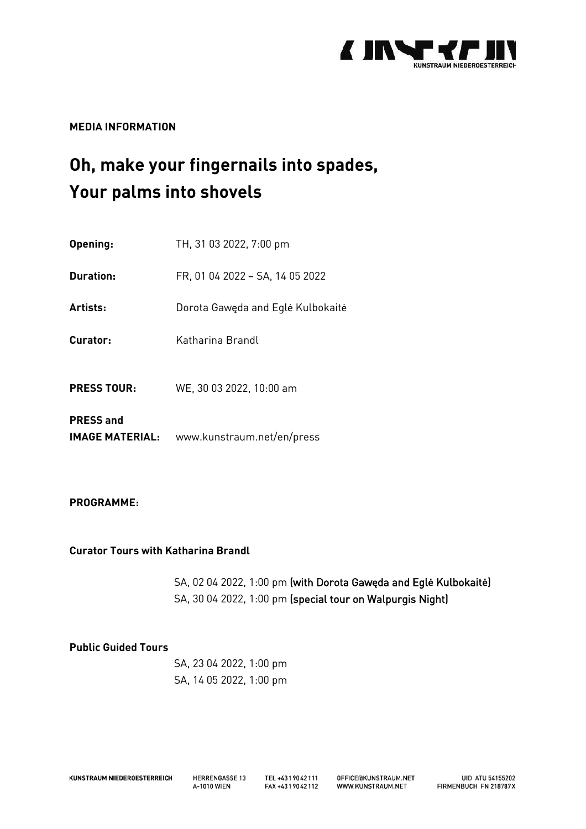

**MEDIA INFORMATION**

# **Oh, make your fingernails into spades, Your palms into shovels**

| Opening:                                   | TH, 31 03 2022, 7:00 pm           |
|--------------------------------------------|-----------------------------------|
| Duration:                                  | FR, 01 04 2022 - SA, 14 05 2022   |
| Artists:                                   | Dorota Gawęda and Eglė Kulbokaitė |
| Curator:                                   | Katharina Brandl                  |
| <b>PRESS TOUR:</b>                         | WE, 30 03 2022, 10:00 am          |
| <b>PRESS and</b><br><b>IMAGE MATERIAL:</b> | www.kunstraum.net/en/press        |

## **PROGRAMME:**

**Curator Tours with Katharina Brandl**

SA, 02 04 2022, 1:00 pm (with Dorota Gaw**ę**da and Egl**ė** Kulbokait**ė**) SA, 30 04 2022, 1:00 pm (special tour on Walpurgis Night)

### **Public Guided Tours**

SA, 23 04 2022, 1:00 pm SA, 14 05 2022, 1:00 pm

**HERRENGASSE 13** A-1010 WIEN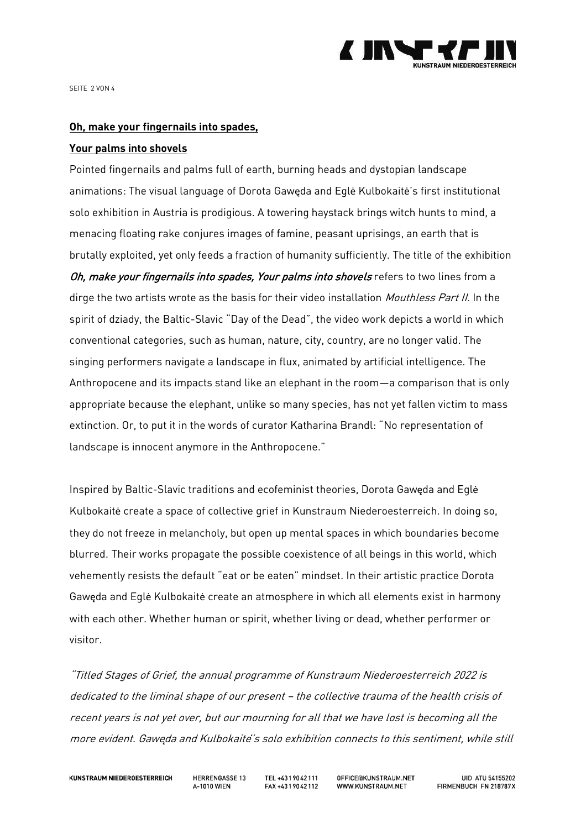

SEITE 2 VON 4

#### **Oh, make your fingernails into spades,**

#### **Your palms into shovels**

Pointed fingernails and palms full of earth, burning heads and dystopian landscape animations: The visual language of Dorota Gawęda and Eglė Kulbokaitė's first institutional solo exhibition in Austria is prodigious. A towering haystack brings witch hunts to mind, a menacing floating rake conjures images of famine, peasant uprisings, an earth that is brutally exploited, yet only feeds a fraction of humanity sufficiently. The title of the exhibition Oh, make your fingernails into spades, Your palms into shovels refers to two lines from a dirge the two artists wrote as the basis for their video installation *Mouthless Part II*. In the spirit of dziady, the Baltic-Slavic "Day of the Dead", the video work depicts a world in which conventional categories, such as human, nature, city, country, are no longer valid. The singing performers navigate a landscape in flux, animated by artificial intelligence. The Anthropocene and its impacts stand like an elephant in the room—a comparison that is only appropriate because the elephant, unlike so many species, has not yet fallen victim to mass extinction. Or, to put it in the words of curator Katharina Brandl: "No representation of landscape is innocent anymore in the Anthropocene."

Inspired by Baltic-Slavic traditions and ecofeminist theories, Dorota Gawęda and Eglė Kulbokaitė create a space of collective grief in Kunstraum Niederoesterreich. In doing so, they do not freeze in melancholy, but open up mental spaces in which boundaries become blurred. Their works propagate the possible coexistence of all beings in this world, which vehemently resists the default "eat or be eaten" mindset. In their artistic practice Dorota Gawęda and Eglė Kulbokaitė create an atmosphere in which all elements exist in harmony with each other. Whether human or spirit, whether living or dead, whether performer or visitor.

"Titled Stages of Grief, the annual programme of Kunstraum Niederoesterreich 2022 is dedicated to the liminal shape of our present – the collective trauma of the health crisis of recent years is not yet over, but our mourning for all that we have lost is becoming all the more evident. Gawe*̨*da and Kulbokaite*̇*'s solo exhibition connects to this sentiment, while still

**HERRENGASSE 13** A-1010 WIEN

TEL +4319042111 FAX +4319042112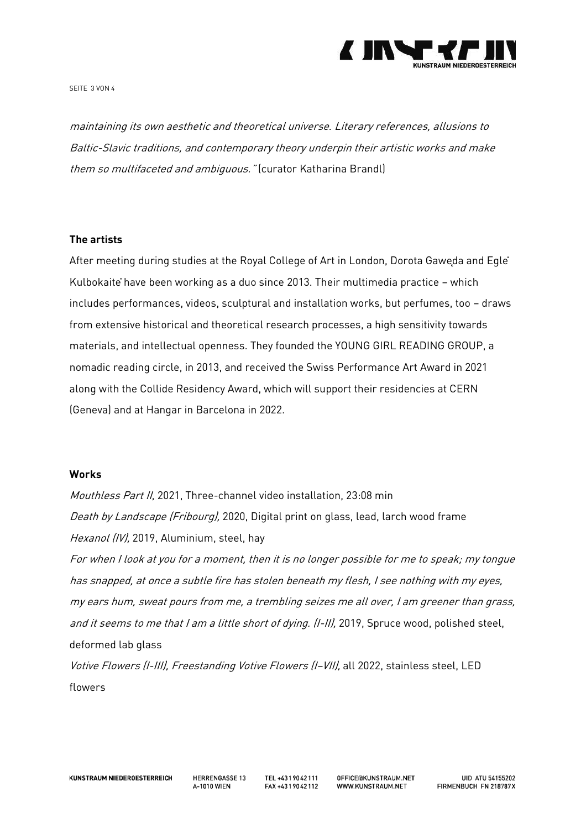

SEITE 3 VON 4

maintaining its own aesthetic and theoretical universe. Literary references, allusions to Baltic-Slavic traditions, and contemporary theory underpin their artistic works and make them so multifaceted and ambiguous." (curator Katharina Brandl)

#### **The artists**

After meeting during studies at the Royal College of Art in London, Dorota Gaweda and Egle Kulbokaitė have been working as a duo since 2013. Their multimedia practice – which includes performances, videos, sculptural and installation works, but perfumes, too – draws from extensive historical and theoretical research processes, a high sensitivity towards materials, and intellectual openness. They founded the YOUNG GIRL READING GROUP, a nomadic reading circle, in 2013, and received the Swiss Performance Art Award in 2021 along with the Collide Residency Award, which will support their residencies at CERN (Geneva) and at Hangar in Barcelona in 2022.

#### **Works**

Mouthless Part II, 2021, Three-channel video installation, 23:08 min Death by Landscape (Fribourg), 2020, Digital print on glass, lead, larch wood frame Hexanol (IV), 2019, Aluminium, steel, hay For when I look at you for <sup>a</sup> moment, then it is no longer possible for me to speak; my tongue has snapped, at once <sup>a</sup> subtle fire has stolen beneath my flesh, I see nothing with my eyes, my ears hum, sweat pours from me, <sup>a</sup> trembling seizes me all over, I am greener than grass, and it seems to me that I am a little short of dying. (I-II), 2019, Spruce wood, polished steel, deformed lab glass Votive Flowers (I-III), Freestanding Votive Flowers (I-VII), all 2022, stainless steel, LED flowers